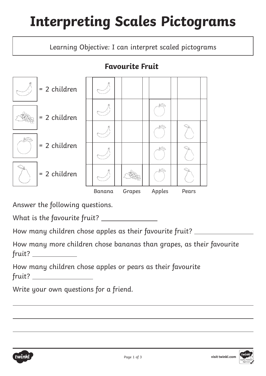## **Interpreting Scales Pictograms**

Learning Objective: I can interpret scaled pictograms

#### **Favourite Fruit**



Answer the following questions.

What is the favourite fruit?

How many children chose apples as their favourite fruit?

How many more children chose bananas than grapes, as their favourite fruit?

How many children chose apples or pears as their favourite fruit?

Write your own questions for a friend.

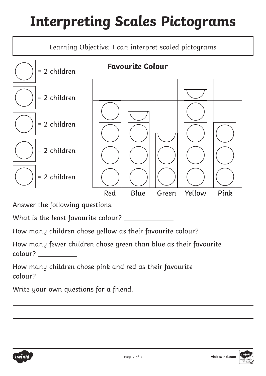# **Interpreting Scales Pictograms**



Answer the following questions.

What is the least favourite colour?

How many children chose yellow as their favourite colour?

How many fewer children chose green than blue as their favourite colour?

How many children chose pink and red as their favourite colour?

Write your own questions for a friend.



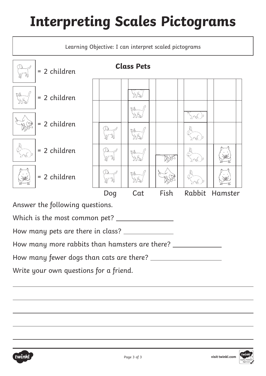# **Interpreting Scales Pictograms**